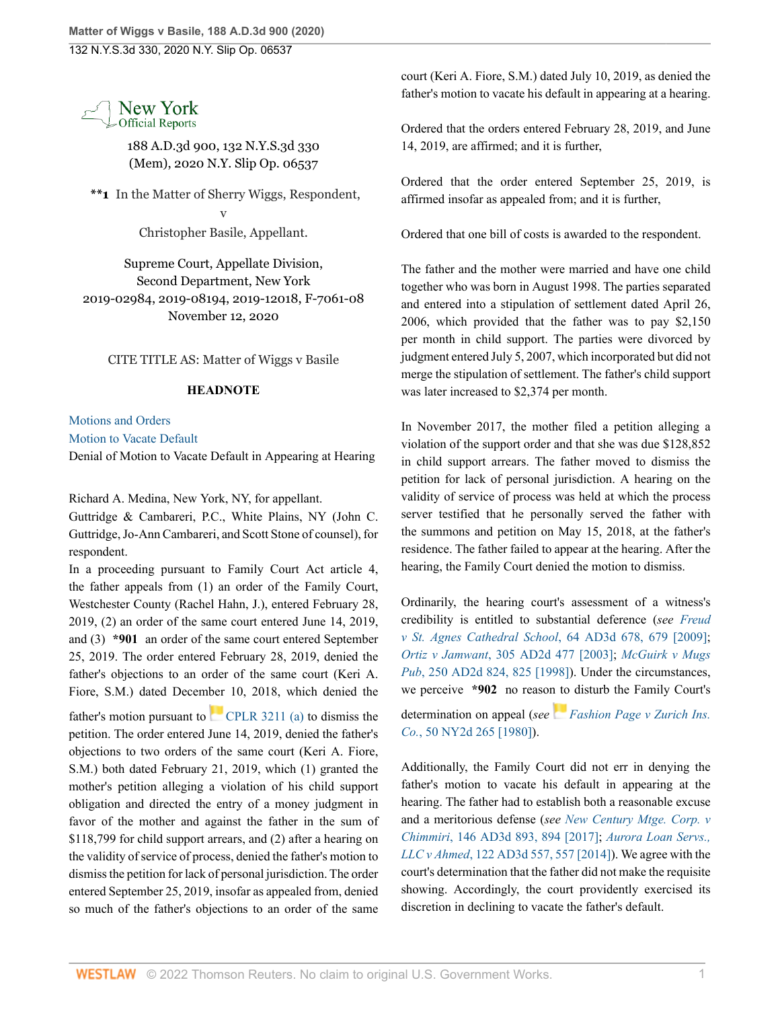

188 A.D.3d 900, 132 N.Y.S.3d 330 (Mem), 2020 N.Y. Slip Op. 06537

**\*\*1** In the Matter of Sherry Wiggs, Respondent,

v Christopher Basile, Appellant.

Supreme Court, Appellate Division, Second Department, New York 2019-02984, 2019-08194, 2019-12018, F-7061-08 November 12, 2020

CITE TITLE AS: Matter of Wiggs v Basile

## **HEADNOTE**

[Motions and Orders](http://www.westlaw.com/Browse/Home/NYOKeyNumber/NY00000001810/View.html?docGuid=Iaa8938c0251611ebb387cd83b273f4c4&contentType=nyoDigest2and3&originationContext=document&transitionType=Document&vr=3.0&rs=cblt1.0&contextData=(sc.Search)) [Motion to Vacate Default](http://www.westlaw.com/Browse/Home/NYOKeyNumber/NY00000001818/View.html?docGuid=Iaa8938c0251611ebb387cd83b273f4c4&contentType=nyoDigest2and3&originationContext=document&transitionType=Document&vr=3.0&rs=cblt1.0&contextData=(sc.Search)) Denial of Motion to Vacate Default in Appearing at Hearing

Richard A. Medina, New York, NY, for appellant.

Guttridge & Cambareri, P.C., White Plains, NY (John C. Guttridge, Jo-Ann Cambareri, and Scott Stone of counsel), for respondent.

In a proceeding pursuant to Family Court Act article 4, the father appeals from (1) an order of the Family Court, Westchester County (Rachel Hahn, J.), entered February 28, 2019, (2) an order of the same court entered June 14, 2019, and (3) **\*901** an order of the same court entered September 25, 2019. The order entered February 28, 2019, denied the father's objections to an order of the same court (Keri A. Fiore, S.M.) dated December 10, 2018, which denied the

father's motion pursuant to [CPLR 3211 \(a\)](http://www.westlaw.com/Link/Document/FullText?findType=L&pubNum=1000059&cite=NYCPR3211&originatingDoc=Iaa8938c0251611ebb387cd83b273f4c4&refType=LQ&originationContext=document&vr=3.0&rs=cblt1.0&transitionType=DocumentItem&contextData=(sc.Search)) to dismiss the petition. The order entered June 14, 2019, denied the father's objections to two orders of the same court (Keri A. Fiore, S.M.) both dated February 21, 2019, which (1) granted the mother's petition alleging a violation of his child support obligation and directed the entry of a money judgment in favor of the mother and against the father in the sum of \$118,799 for child support arrears, and (2) after a hearing on the validity of service of process, denied the father's motion to dismiss the petition for lack of personal jurisdiction. The order entered September 25, 2019, insofar as appealed from, denied so much of the father's objections to an order of the same

court (Keri A. Fiore, S.M.) dated July 10, 2019, as denied the father's motion to vacate his default in appearing at a hearing.

Ordered that the orders entered February 28, 2019, and June 14, 2019, are affirmed; and it is further,

Ordered that the order entered September 25, 2019, is affirmed insofar as appealed from; and it is further,

Ordered that one bill of costs is awarded to the respondent.

The father and the mother were married and have one child together who was born in August 1998. The parties separated and entered into a stipulation of settlement dated April 26, 2006, which provided that the father was to pay \$2,150 per month in child support. The parties were divorced by judgment entered July 5, 2007, which incorporated but did not merge the stipulation of settlement. The father's child support was later increased to \$2,374 per month.

In November 2017, the mother filed a petition alleging a violation of the support order and that she was due \$128,852 in child support arrears. The father moved to dismiss the petition for lack of personal jurisdiction. A hearing on the validity of service of process was held at which the process server testified that he personally served the father with the summons and petition on May 15, 2018, at the father's residence. The father failed to appear at the hearing. After the hearing, the Family Court denied the motion to dismiss.

Ordinarily, the hearing court's assessment of a witness's credibility is entitled to substantial deference (*see [Freud](http://www.westlaw.com/Link/Document/FullText?findType=Y&pubNum=0007049&cite=64AD3D678&originatingDoc=Iaa8938c0251611ebb387cd83b273f4c4&refType=RP&fi=co_pp_sp_7049_679&originationContext=document&vr=3.0&rs=cblt1.0&transitionType=DocumentItem&contextData=(sc.Search)#co_pp_sp_7049_679) [v St. Agnes Cathedral School](http://www.westlaw.com/Link/Document/FullText?findType=Y&pubNum=0007049&cite=64AD3D678&originatingDoc=Iaa8938c0251611ebb387cd83b273f4c4&refType=RP&fi=co_pp_sp_7049_679&originationContext=document&vr=3.0&rs=cblt1.0&transitionType=DocumentItem&contextData=(sc.Search)#co_pp_sp_7049_679)*, 64 AD3d 678, 679 [2009]; *Ortiz v Jamwant*[, 305 AD2d 477 \[2003\];](http://www.westlaw.com/Link/Document/FullText?findType=Y&pubNum=0000155&cite=305APPDIV2D477&originatingDoc=Iaa8938c0251611ebb387cd83b273f4c4&refType=RP&originationContext=document&vr=3.0&rs=cblt1.0&transitionType=DocumentItem&contextData=(sc.Search)) *[McGuirk v Mugs](http://www.westlaw.com/Link/Document/FullText?findType=Y&pubNum=0000155&cite=250APPDIV2D824&originatingDoc=Iaa8938c0251611ebb387cd83b273f4c4&refType=RP&fi=co_pp_sp_155_825&originationContext=document&vr=3.0&rs=cblt1.0&transitionType=DocumentItem&contextData=(sc.Search)#co_pp_sp_155_825) Pub*[, 250 AD2d 824, 825 \[1998\]](http://www.westlaw.com/Link/Document/FullText?findType=Y&pubNum=0000155&cite=250APPDIV2D824&originatingDoc=Iaa8938c0251611ebb387cd83b273f4c4&refType=RP&fi=co_pp_sp_155_825&originationContext=document&vr=3.0&rs=cblt1.0&transitionType=DocumentItem&contextData=(sc.Search)#co_pp_sp_155_825)). Under the circumstances, we perceive **\*902** no reason to disturb the Family Court's

determination on appeal (*see [Fashion Page v Zurich Ins.](http://www.westlaw.com/Link/Document/FullText?findType=Y&pubNum=0000605&cite=50NY2D265&originatingDoc=Iaa8938c0251611ebb387cd83b273f4c4&refType=RP&originationContext=document&vr=3.0&rs=cblt1.0&transitionType=DocumentItem&contextData=(sc.Search)) Co.*[, 50 NY2d 265 \[1980\]\)](http://www.westlaw.com/Link/Document/FullText?findType=Y&pubNum=0000605&cite=50NY2D265&originatingDoc=Iaa8938c0251611ebb387cd83b273f4c4&refType=RP&originationContext=document&vr=3.0&rs=cblt1.0&transitionType=DocumentItem&contextData=(sc.Search)).

Additionally, the Family Court did not err in denying the father's motion to vacate his default in appearing at the hearing. The father had to establish both a reasonable excuse and a meritorious defense (*see [New Century Mtge. Corp. v](http://www.westlaw.com/Link/Document/FullText?findType=Y&pubNum=0007049&cite=146AD3D893&originatingDoc=Iaa8938c0251611ebb387cd83b273f4c4&refType=RP&fi=co_pp_sp_7049_894&originationContext=document&vr=3.0&rs=cblt1.0&transitionType=DocumentItem&contextData=(sc.Search)#co_pp_sp_7049_894) Chimmiri*[, 146 AD3d 893, 894 \[2017\]](http://www.westlaw.com/Link/Document/FullText?findType=Y&pubNum=0007049&cite=146AD3D893&originatingDoc=Iaa8938c0251611ebb387cd83b273f4c4&refType=RP&fi=co_pp_sp_7049_894&originationContext=document&vr=3.0&rs=cblt1.0&transitionType=DocumentItem&contextData=(sc.Search)#co_pp_sp_7049_894); *[Aurora Loan Servs.,](http://www.westlaw.com/Link/Document/FullText?findType=Y&pubNum=0007049&cite=122AD3D557&originatingDoc=Iaa8938c0251611ebb387cd83b273f4c4&refType=RP&originationContext=document&vr=3.0&rs=cblt1.0&transitionType=DocumentItem&contextData=(sc.Search)) LLC v Ahmed*[, 122 AD3d 557, 557 \[2014\]\)](http://www.westlaw.com/Link/Document/FullText?findType=Y&pubNum=0007049&cite=122AD3D557&originatingDoc=Iaa8938c0251611ebb387cd83b273f4c4&refType=RP&originationContext=document&vr=3.0&rs=cblt1.0&transitionType=DocumentItem&contextData=(sc.Search)). We agree with the court's determination that the father did not make the requisite showing. Accordingly, the court providently exercised its discretion in declining to vacate the father's default.